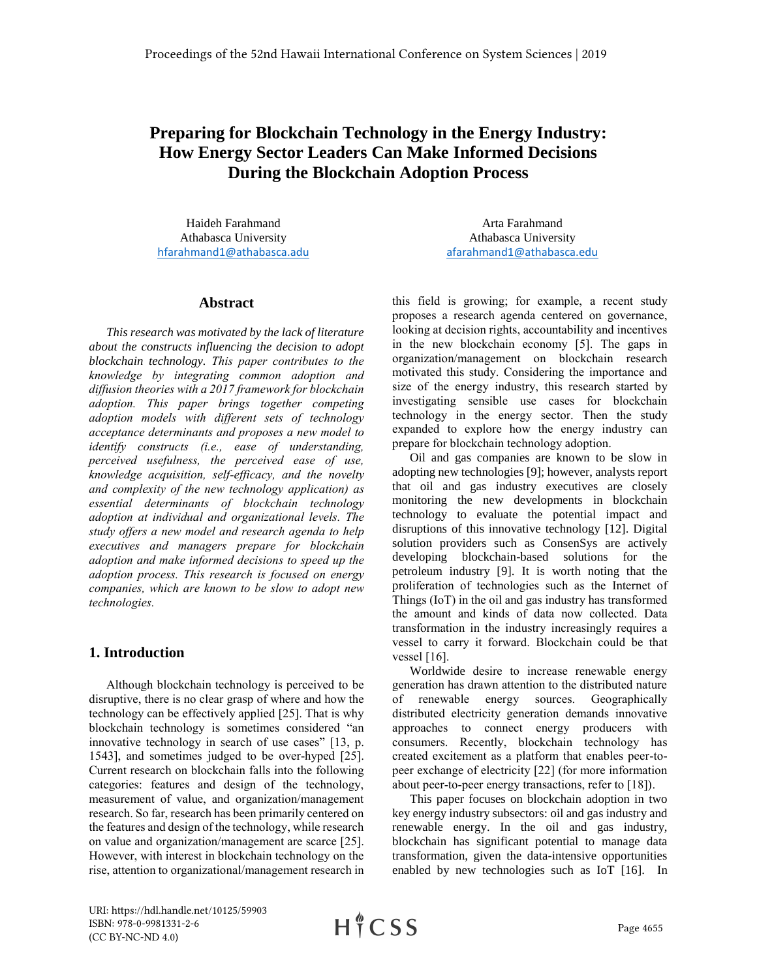# **Preparing for Blockchain Technology in the Energy Industry: How Energy Sector Leaders Can Make Informed Decisions During the Blockchain Adoption Process**

Haideh Farahmand Athabasca University [hfarahmand1@athabasca.adu](mailto:hfarahmand1@athabasca.adu)

#### **Abstract**

*This research was motivated by the lack of literature about the constructs influencing the decision to adopt blockchain technology. This paper contributes to the knowledge by integrating common adoption and diffusion theories with a 2017 framework for blockchain adoption. This paper brings together competing adoption models with different sets of technology acceptance determinants and proposes a new model to identify constructs (i.e., ease of understanding, perceived usefulness, the perceived ease of use, knowledge acquisition, self-efficacy, and the novelty and complexity of the new technology application) as essential determinants of blockchain technology adoption at individual and organizational levels. The study offers a new model and research agenda to help executives and managers prepare for blockchain adoption and make informed decisions to speed up the adoption process. This research is focused on energy companies, which are known to be slow to adopt new technologies.*

## **1. Introduction**

Although blockchain technology is perceived to be disruptive, there is no clear grasp of where and how the technology can be effectively applied [25]. That is why blockchain technology is sometimes considered "an innovative technology in search of use cases" [13, p. 1543], and sometimes judged to be over-hyped [25]. Current research on blockchain falls into the following categories: features and design of the technology, measurement of value, and organization/management research. So far, research has been primarily centered on the features and design of the technology, while research on value and organization/management are scarce [25]. However, with interest in blockchain technology on the rise, attention to organizational/management research in

Arta Farahmand Athabasca University [afarahmand1@athabasca.edu](mailto:afarahmand1@athabasca.edu)

this field is growing; for example, a recent study proposes a research agenda centered on governance, looking at decision rights, accountability and incentives in the new blockchain economy [5]. The gaps in organization/management on blockchain research motivated this study. Considering the importance and size of the energy industry, this research started by investigating sensible use cases for blockchain technology in the energy sector. Then the study expanded to explore how the energy industry can prepare for blockchain technology adoption.

Oil and gas companies are known to be slow in adopting new technologies [9]; however, analysts report that oil and gas industry executives are closely monitoring the new developments in blockchain technology to evaluate the potential impact and disruptions of this innovative technology [12]. Digital solution providers such as ConsenSys are actively developing blockchain-based solutions for the petroleum industry [9]. It is worth noting that the proliferation of technologies such as the Internet of Things (IoT) in the oil and gas industry has transformed the amount and kinds of data now collected. Data transformation in the industry increasingly requires a vessel to carry it forward. Blockchain could be that vessel [16].

Worldwide desire to increase renewable energy generation has drawn attention to the distributed nature of renewable energy sources. Geographically distributed electricity generation demands innovative approaches to connect energy producers with consumers. Recently, blockchain technology has created excitement as a platform that enables peer-topeer exchange of electricity [22] (for more information about peer-to-peer energy transactions, refer to [18]).

This paper focuses on blockchain adoption in two key energy industry subsectors: oil and gas industry and renewable energy. In the oil and gas industry, blockchain has significant potential to manage data transformation, given the data-intensive opportunities enabled by new technologies such as IoT [16]. In

URI: https://hdl.handle.net/10125/59903 ISBN: 978-0-9981331-2-6 (CC BY-NC-ND 4.0)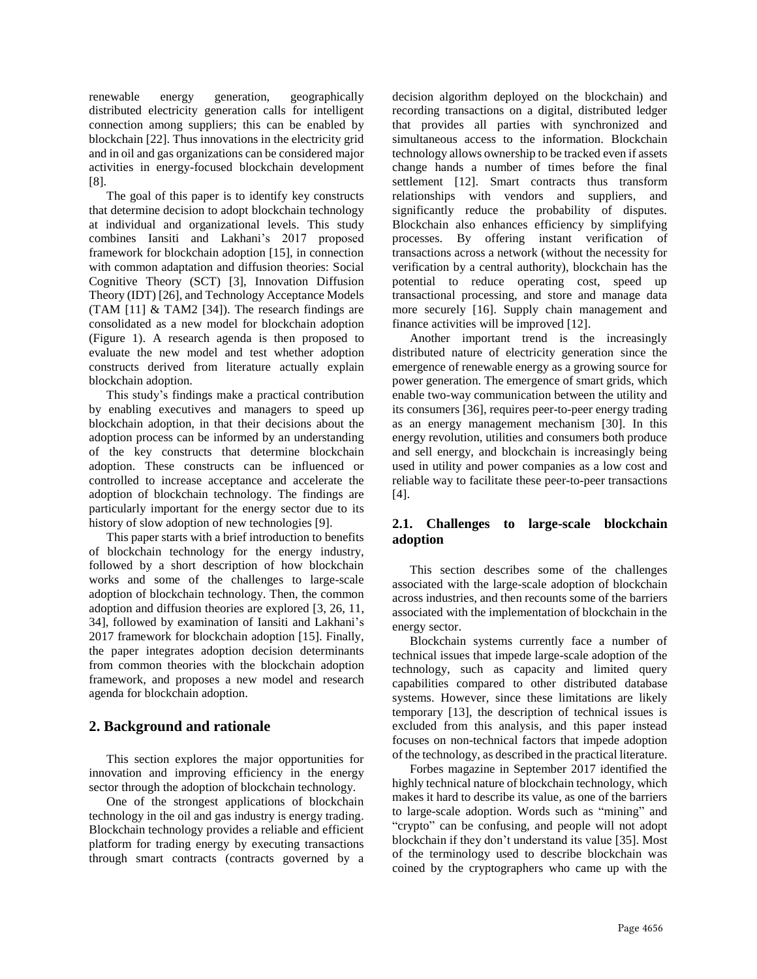renewable energy generation, geographically distributed electricity generation calls for intelligent connection among suppliers; this can be enabled by blockchain [22]. Thus innovations in the electricity grid and in oil and gas organizations can be considered major activities in energy-focused blockchain development [8].

The goal of this paper is to identify key constructs that determine decision to adopt blockchain technology at individual and organizational levels. This study combines Iansiti and Lakhani's 2017 proposed framework for blockchain adoption [15], in connection with common adaptation and diffusion theories: Social Cognitive Theory (SCT) [3], Innovation Diffusion Theory (IDT) [26], and Technology Acceptance Models (TAM [11] & TAM2 [34]). The research findings are consolidated as a new model for blockchain adoption (Figure 1). A research agenda is then proposed to evaluate the new model and test whether adoption constructs derived from literature actually explain blockchain adoption.

This study's findings make a practical contribution by enabling executives and managers to speed up blockchain adoption, in that their decisions about the adoption process can be informed by an understanding of the key constructs that determine blockchain adoption. These constructs can be influenced or controlled to increase acceptance and accelerate the adoption of blockchain technology. The findings are particularly important for the energy sector due to its history of slow adoption of new technologies [9].

This paper starts with a brief introduction to benefits of blockchain technology for the energy industry, followed by a short description of how blockchain works and some of the challenges to large-scale adoption of blockchain technology. Then, the common adoption and diffusion theories are explored [3, 26, 11, 34], followed by examination of Iansiti and Lakhani's 2017 framework for blockchain adoption [15]. Finally, the paper integrates adoption decision determinants from common theories with the blockchain adoption framework, and proposes a new model and research agenda for blockchain adoption.

## **2. Background and rationale**

This section explores the major opportunities for innovation and improving efficiency in the energy sector through the adoption of blockchain technology.

One of the strongest applications of blockchain technology in the oil and gas industry is energy trading. Blockchain technology provides a reliable and efficient platform for trading energy by executing transactions through smart contracts (contracts governed by a

decision algorithm deployed on the blockchain) and recording transactions on a digital, distributed ledger that provides all parties with synchronized and simultaneous access to the information. Blockchain technology allows ownership to be tracked even if assets change hands a number of times before the final settlement [12]. Smart contracts thus transform relationships with vendors and suppliers, and significantly reduce the probability of disputes. Blockchain also enhances efficiency by simplifying processes. By offering instant verification of transactions across a network (without the necessity for verification by a central authority), blockchain has the potential to reduce operating cost, speed up transactional processing, and store and manage data more securely [16]. Supply chain management and finance activities will be improved [12].

Another important trend is the increasingly distributed nature of electricity generation since the emergence of renewable energy as a growing source for power generation. The emergence of smart grids, which enable two-way communication between the utility and its consumers [36], requires peer-to-peer energy trading as an energy management mechanism [30]. In this energy revolution, utilities and consumers both produce and sell energy, and blockchain is increasingly being used in utility and power companies as a low cost and reliable way to facilitate these peer-to-peer transactions [4].

## **2.1. Challenges to large-scale blockchain adoption**

This section describes some of the challenges associated with the large-scale adoption of blockchain across industries, and then recounts some of the barriers associated with the implementation of blockchain in the energy sector.

Blockchain systems currently face a number of technical issues that impede large-scale adoption of the technology, such as capacity and limited query capabilities compared to other distributed database systems. However, since these limitations are likely temporary [13], the description of technical issues is excluded from this analysis, and this paper instead focuses on non-technical factors that impede adoption of the technology, as described in the practical literature.

Forbes magazine in September 2017 identified the highly technical nature of blockchain technology, which makes it hard to describe its value, as one of the barriers to large-scale adoption. Words such as "mining" and "crypto" can be confusing, and people will not adopt blockchain if they don't understand its value [35]. Most of the terminology used to describe blockchain was coined by the cryptographers who came up with the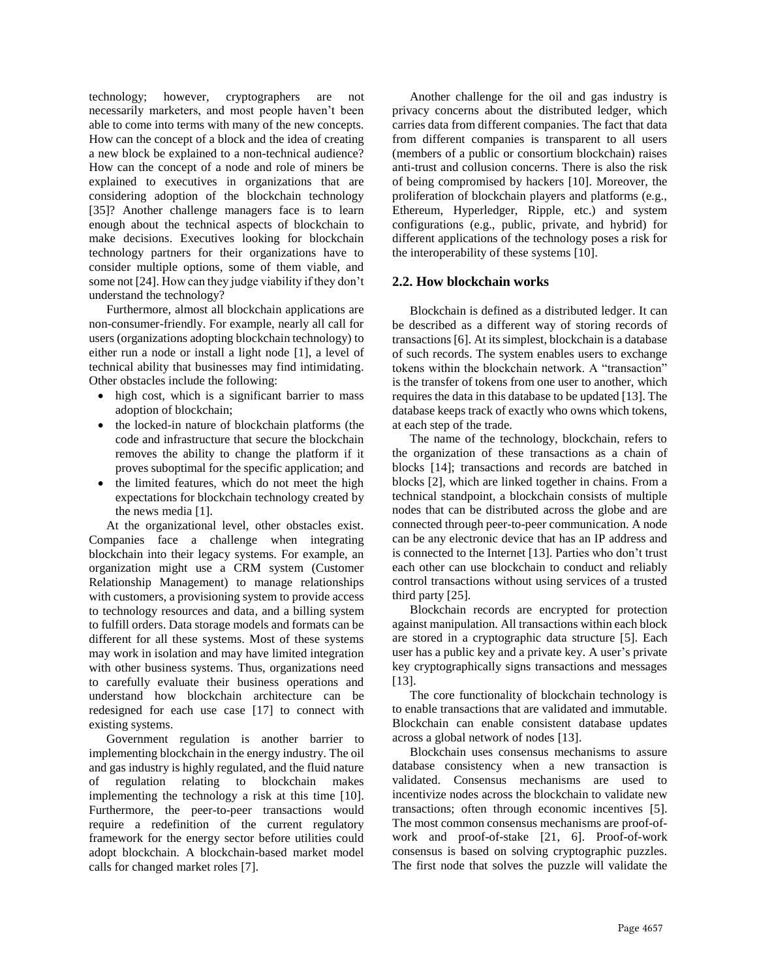technology; however, cryptographers are not necessarily marketers, and most people haven't been able to come into terms with many of the new concepts. How can the concept of a block and the idea of creating a new block be explained to a non-technical audience? How can the concept of a node and role of miners be explained to executives in organizations that are considering adoption of the blockchain technology [35]? Another challenge managers face is to learn enough about the technical aspects of blockchain to make decisions. Executives looking for blockchain technology partners for their organizations have to consider multiple options, some of them viable, and some not [24]. How can they judge viability if they don't understand the technology?

Furthermore, almost all blockchain applications are non-consumer-friendly. For example, nearly all call for users (organizations adopting blockchain technology) to either run a node or install a light node [1], a level of technical ability that businesses may find intimidating. Other obstacles include the following:

- high cost, which is a significant barrier to mass adoption of blockchain;
- the locked-in nature of blockchain platforms (the code and infrastructure that secure the blockchain removes the ability to change the platform if it proves suboptimal for the specific application; and
- the limited features, which do not meet the high expectations for blockchain technology created by the news media [1].

At the organizational level, other obstacles exist. Companies face a challenge when integrating blockchain into their legacy systems. For example, an organization might use a CRM system (Customer Relationship Management) to manage relationships with customers, a provisioning system to provide access to technology resources and data, and a billing system to fulfill orders. Data storage models and formats can be different for all these systems. Most of these systems may work in isolation and may have limited integration with other business systems. Thus, organizations need to carefully evaluate their business operations and understand how blockchain architecture can be redesigned for each use case [17] to connect with existing systems.

Government regulation is another barrier to implementing blockchain in the energy industry. The oil and gas industry is highly regulated, and the fluid nature of regulation relating to blockchain makes implementing the technology a risk at this time [10]. Furthermore, the peer-to-peer transactions would require a redefinition of the current regulatory framework for the energy sector before utilities could adopt blockchain. A blockchain-based market model calls for changed market roles [7].

Another challenge for the oil and gas industry is privacy concerns about the distributed ledger, which carries data from different companies. The fact that data from different companies is transparent to all users (members of a public or consortium blockchain) raises anti-trust and collusion concerns. There is also the risk of being compromised by hackers [10]. Moreover, the proliferation of blockchain players and platforms (e.g., Ethereum, Hyperledger, Ripple, etc.) and system configurations (e.g., public, private, and hybrid) for different applications of the technology poses a risk for the interoperability of these systems [10].

#### **2.2. How blockchain works**

Blockchain is defined as a distributed ledger. It can be described as a different way of storing records of transactions [6]. At its simplest, blockchain is a database of such records. The system enables users to exchange tokens within the blockchain network. A "transaction" is the transfer of tokens from one user to another, which requires the data in this database to be updated [13]. The database keeps track of exactly who owns which tokens, at each step of the trade.

The name of the technology, blockchain, refers to the organization of these transactions as a chain of blocks [14]; transactions and records are batched in blocks [2], which are linked together in chains. From a technical standpoint, a blockchain consists of multiple nodes that can be distributed across the globe and are connected through peer-to-peer communication. A node can be any electronic device that has an IP address and is connected to the Internet [13]. Parties who don't trust each other can use blockchain to conduct and reliably control transactions without using services of a trusted third party [25].

Blockchain records are encrypted for protection against manipulation. All transactions within each block are stored in a cryptographic data structure [5]. Each user has a public key and a private key. A user's private key cryptographically signs transactions and messages [13].

The core functionality of blockchain technology is to enable transactions that are validated and immutable. Blockchain can enable consistent database updates across a global network of nodes [13].

Blockchain uses consensus mechanisms to assure database consistency when a new transaction is validated. Consensus mechanisms are used to incentivize nodes across the blockchain to validate new transactions; often through economic incentives [5]. The most common consensus mechanisms are proof-ofwork and proof-of-stake [21, 6]. Proof-of-work consensus is based on solving cryptographic puzzles. The first node that solves the puzzle will validate the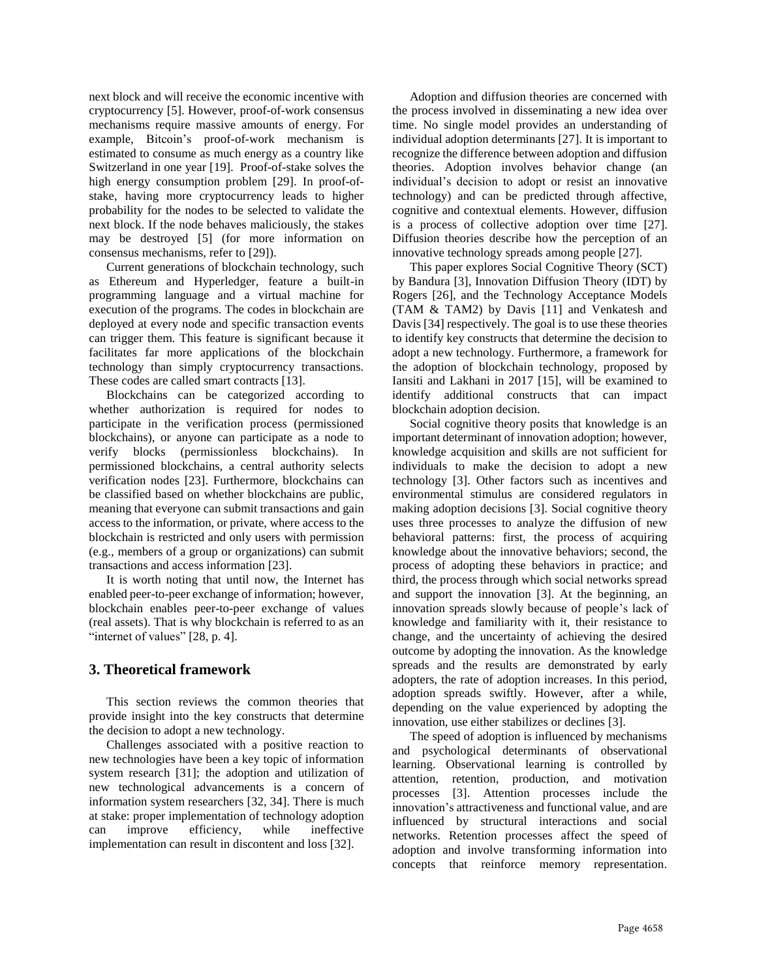next block and will receive the economic incentive with cryptocurrency [5]. However, proof-of-work consensus mechanisms require massive amounts of energy. For example, Bitcoin's proof-of-work mechanism is estimated to consume as much energy as a country like Switzerland in one year [19]. Proof-of-stake solves the high energy consumption problem [29]. In proof-ofstake, having more cryptocurrency leads to higher probability for the nodes to be selected to validate the next block. If the node behaves maliciously, the stakes may be destroyed [5] (for more information on consensus mechanisms, refer to [29]).

Current generations of blockchain technology, such as Ethereum and Hyperledger, feature a built-in programming language and a virtual machine for execution of the programs. The codes in blockchain are deployed at every node and specific transaction events can trigger them. This feature is significant because it facilitates far more applications of the blockchain technology than simply cryptocurrency transactions. These codes are called smart contracts [13].

Blockchains can be categorized according to whether authorization is required for nodes to participate in the verification process (permissioned blockchains), or anyone can participate as a node to verify blocks (permissionless blockchains). In permissioned blockchains, a central authority selects verification nodes [23]. Furthermore, blockchains can be classified based on whether blockchains are public, meaning that everyone can submit transactions and gain access to the information, or private, where access to the blockchain is restricted and only users with permission (e.g., members of a group or organizations) can submit transactions and access information [23].

It is worth noting that until now, the Internet has enabled peer-to-peer exchange of information; however, blockchain enables peer-to-peer exchange of values (real assets). That is why blockchain is referred to as an "internet of values" [28, p. 4].

## **3. Theoretical framework**

This section reviews the common theories that provide insight into the key constructs that determine the decision to adopt a new technology.

Challenges associated with a positive reaction to new technologies have been a key topic of information system research [31]; the adoption and utilization of new technological advancements is a concern of information system researchers [32, 34]. There is much at stake: proper implementation of technology adoption can improve efficiency, while ineffective implementation can result in discontent and loss [32].

Adoption and diffusion theories are concerned with the process involved in disseminating a new idea over time. No single model provides an understanding of individual adoption determinants [27]. It is important to recognize the difference between adoption and diffusion theories. Adoption involves behavior change (an individual's decision to adopt or resist an innovative technology) and can be predicted through affective, cognitive and contextual elements. However, diffusion is a process of collective adoption over time [27]. Diffusion theories describe how the perception of an innovative technology spreads among people [27].

This paper explores Social Cognitive Theory (SCT) by Bandura [3], Innovation Diffusion Theory (IDT) by Rogers [26], and the Technology Acceptance Models (TAM & TAM2) by Davis [11] and Venkatesh and Davis [34] respectively. The goal is to use these theories to identify key constructs that determine the decision to adopt a new technology. Furthermore, a framework for the adoption of blockchain technology, proposed by Iansiti and Lakhani in 2017 [15], will be examined to identify additional constructs that can impact blockchain adoption decision.

Social cognitive theory posits that knowledge is an important determinant of innovation adoption; however, knowledge acquisition and skills are not sufficient for individuals to make the decision to adopt a new technology [3]. Other factors such as incentives and environmental stimulus are considered regulators in making adoption decisions [3]. Social cognitive theory uses three processes to analyze the diffusion of new behavioral patterns: first, the process of acquiring knowledge about the innovative behaviors; second, the process of adopting these behaviors in practice; and third, the process through which social networks spread and support the innovation [3]. At the beginning, an innovation spreads slowly because of people's lack of knowledge and familiarity with it, their resistance to change, and the uncertainty of achieving the desired outcome by adopting the innovation. As the knowledge spreads and the results are demonstrated by early adopters, the rate of adoption increases. In this period, adoption spreads swiftly. However, after a while, depending on the value experienced by adopting the innovation, use either stabilizes or declines [3].

The speed of adoption is influenced by mechanisms and psychological determinants of observational learning. Observational learning is controlled by attention, retention, production, and motivation processes [3]. Attention processes include the innovation's attractiveness and functional value, and are influenced by structural interactions and social networks. Retention processes affect the speed of adoption and involve transforming information into concepts that reinforce memory representation.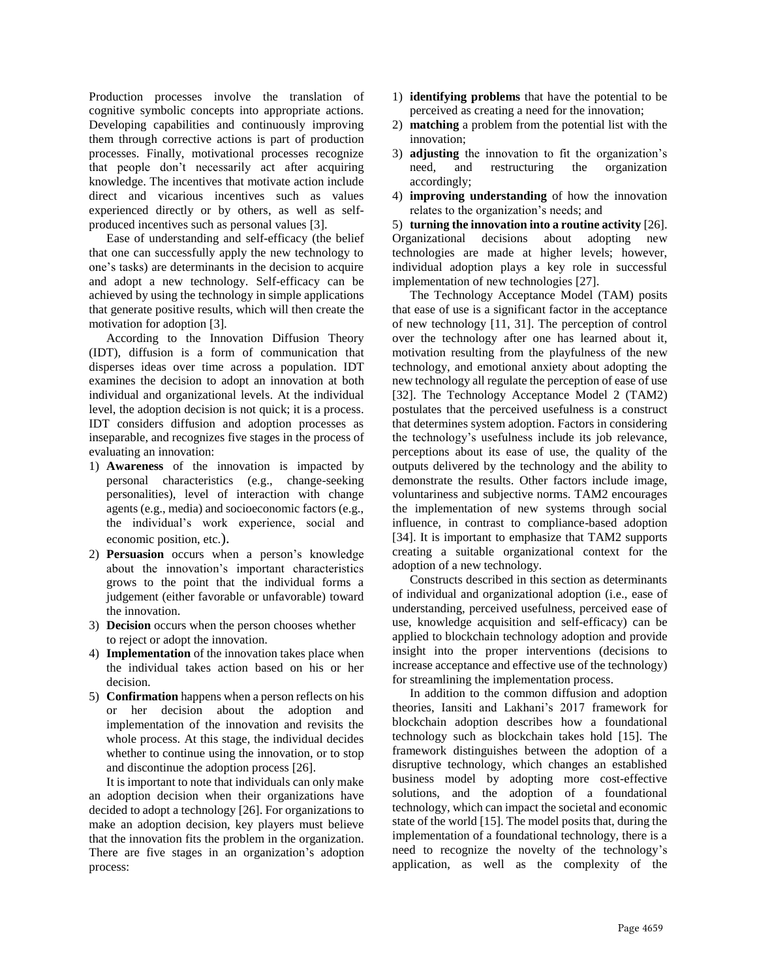Production processes involve the translation of cognitive symbolic concepts into appropriate actions. Developing capabilities and continuously improving them through corrective actions is part of production processes. Finally, motivational processes recognize that people don't necessarily act after acquiring knowledge. The incentives that motivate action include direct and vicarious incentives such as values experienced directly or by others, as well as selfproduced incentives such as personal values [3].

Ease of understanding and self-efficacy (the belief that one can successfully apply the new technology to one's tasks) are determinants in the decision to acquire and adopt a new technology. Self-efficacy can be achieved by using the technology in simple applications that generate positive results, which will then create the motivation for adoption [3].

According to the Innovation Diffusion Theory (IDT), diffusion is a form of communication that disperses ideas over time across a population. IDT examines the decision to adopt an innovation at both individual and organizational levels. At the individual level, the adoption decision is not quick; it is a process. IDT considers diffusion and adoption processes as inseparable, and recognizes five stages in the process of evaluating an innovation:

- 1) **Awareness** of the innovation is impacted by personal characteristics (e.g., change-seeking personalities), level of interaction with change agents (e.g., media) and socioeconomic factors (e.g., the individual's work experience, social and economic position, etc.).
- 2) **Persuasion** occurs when a person's knowledge about the innovation's important characteristics grows to the point that the individual forms a judgement (either favorable or unfavorable) toward the innovation.
- 3) **Decision** occurs when the person chooses whether to reject or adopt the innovation.
- 4) **Implementation** of the innovation takes place when the individual takes action based on his or her decision.
- 5) **Confirmation** happens when a person reflects on his or her decision about the adoption and implementation of the innovation and revisits the whole process. At this stage, the individual decides whether to continue using the innovation, or to stop and discontinue the adoption process [26].

It is important to note that individuals can only make an adoption decision when their organizations have decided to adopt a technology [26]. For organizations to make an adoption decision, key players must believe that the innovation fits the problem in the organization. There are five stages in an organization's adoption process:

- 1) **identifying problems** that have the potential to be perceived as creating a need for the innovation;
- 2) **matching** a problem from the potential list with the innovation;
- 3) **adjusting** the innovation to fit the organization's need, and restructuring the organization accordingly;
- 4) **improving understanding** of how the innovation relates to the organization's needs; and

5) **turning the innovation into a routine activity** [26]. Organizational decisions about adopting new technologies are made at higher levels; however, individual adoption plays a key role in successful implementation of new technologies [27].

The Technology Acceptance Model (TAM) posits that ease of use is a significant factor in the acceptance of new technology [11, 31]. The perception of control over the technology after one has learned about it, motivation resulting from the playfulness of the new technology, and emotional anxiety about adopting the new technology all regulate the perception of ease of use [32]. The Technology Acceptance Model 2 (TAM2) postulates that the perceived usefulness is a construct that determines system adoption. Factors in considering the technology's usefulness include its job relevance, perceptions about its ease of use, the quality of the outputs delivered by the technology and the ability to demonstrate the results. Other factors include image, voluntariness and subjective norms. TAM2 encourages the implementation of new systems through social influence, in contrast to compliance-based adoption [34]. It is important to emphasize that TAM2 supports creating a suitable organizational context for the adoption of a new technology.

Constructs described in this section as determinants of individual and organizational adoption (i.e., ease of understanding, perceived usefulness, perceived ease of use, knowledge acquisition and self-efficacy) can be applied to blockchain technology adoption and provide insight into the proper interventions (decisions to increase acceptance and effective use of the technology) for streamlining the implementation process.

In addition to the common diffusion and adoption theories, Iansiti and Lakhani's 2017 framework for blockchain adoption describes how a foundational technology such as blockchain takes hold [15]. The framework distinguishes between the adoption of a disruptive technology, which changes an established business model by adopting more cost-effective solutions, and the adoption of a foundational technology, which can impact the societal and economic state of the world [15]. The model posits that, during the implementation of a foundational technology, there is a need to recognize the novelty of the technology's application, as well as the complexity of the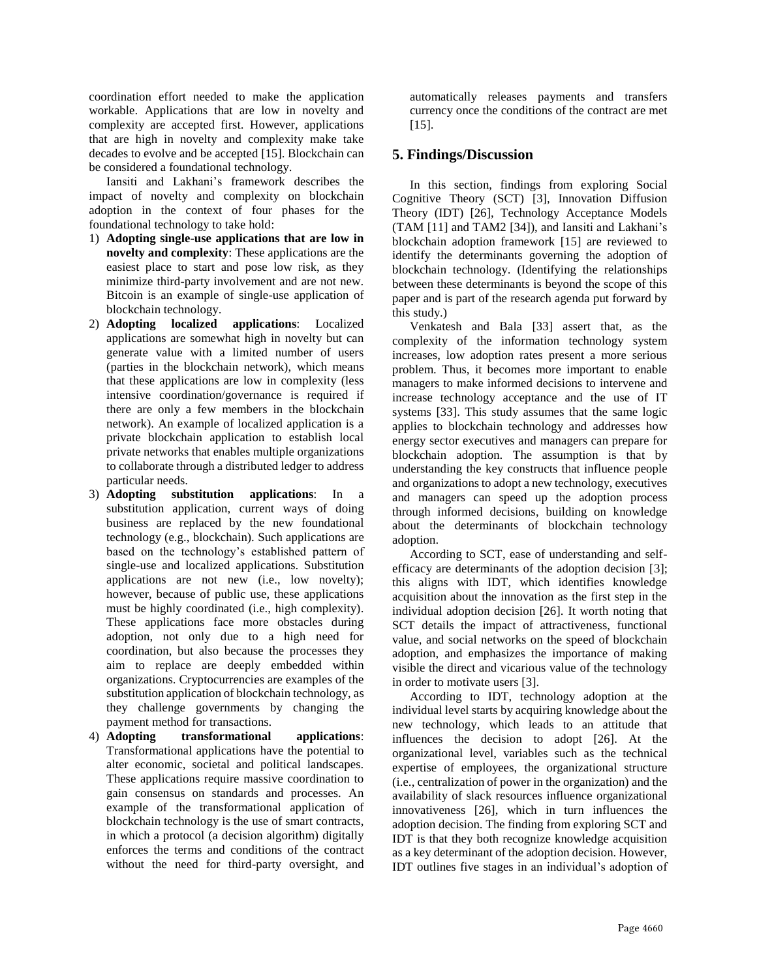coordination effort needed to make the application workable. Applications that are low in novelty and complexity are accepted first. However, applications that are high in novelty and complexity make take decades to evolve and be accepted [15]. Blockchain can be considered a foundational technology.

Iansiti and Lakhani's framework describes the impact of novelty and complexity on blockchain adoption in the context of four phases for the foundational technology to take hold:

- 1) **Adopting single-use applications that are low in novelty and complexity**: These applications are the easiest place to start and pose low risk, as they minimize third-party involvement and are not new. Bitcoin is an example of single-use application of blockchain technology.
- 2) **Adopting localized applications**: Localized applications are somewhat high in novelty but can generate value with a limited number of users (parties in the blockchain network), which means that these applications are low in complexity (less intensive coordination/governance is required if there are only a few members in the blockchain network). An example of localized application is a private blockchain application to establish local private networks that enables multiple organizations to collaborate through a distributed ledger to address particular needs.
- 3) **Adopting substitution applications**: In a substitution application, current ways of doing business are replaced by the new foundational technology (e.g., blockchain). Such applications are based on the technology's established pattern of single-use and localized applications. Substitution applications are not new (i.e., low novelty); however, because of public use, these applications must be highly coordinated (i.e., high complexity). These applications face more obstacles during adoption, not only due to a high need for coordination, but also because the processes they aim to replace are deeply embedded within organizations. Cryptocurrencies are examples of the substitution application of blockchain technology, as they challenge governments by changing the
- payment method for transactions.<br>4) **Adopting transformational** 4) **Adopting transformational applications**: Transformational applications have the potential to alter economic, societal and political landscapes. These applications require massive coordination to gain consensus on standards and processes. An example of the transformational application of blockchain technology is the use of smart contracts, in which a protocol (a decision algorithm) digitally enforces the terms and conditions of the contract without the need for third-party oversight, and

automatically releases payments and transfers currency once the conditions of the contract are met [15].

## **5. Findings/Discussion**

In this section, findings from exploring Social Cognitive Theory (SCT) [3], Innovation Diffusion Theory (IDT) [26], Technology Acceptance Models (TAM [11] and TAM2 [34]), and Iansiti and Lakhani's blockchain adoption framework [15] are reviewed to identify the determinants governing the adoption of blockchain technology. (Identifying the relationships between these determinants is beyond the scope of this paper and is part of the research agenda put forward by this study.)

Venkatesh and Bala [33] assert that, as the complexity of the information technology system increases, low adoption rates present a more serious problem. Thus, it becomes more important to enable managers to make informed decisions to intervene and increase technology acceptance and the use of IT systems [33]. This study assumes that the same logic applies to blockchain technology and addresses how energy sector executives and managers can prepare for blockchain adoption. The assumption is that by understanding the key constructs that influence people and organizations to adopt a new technology, executives and managers can speed up the adoption process through informed decisions, building on knowledge about the determinants of blockchain technology adoption.

According to SCT, ease of understanding and selfefficacy are determinants of the adoption decision [3]; this aligns with IDT, which identifies knowledge acquisition about the innovation as the first step in the individual adoption decision [26]. It worth noting that SCT details the impact of attractiveness, functional value, and social networks on the speed of blockchain adoption, and emphasizes the importance of making visible the direct and vicarious value of the technology in order to motivate users [3].

According to IDT, technology adoption at the individual level starts by acquiring knowledge about the new technology, which leads to an attitude that influences the decision to adopt [26]. At the organizational level, variables such as the technical expertise of employees, the organizational structure (i.e., centralization of power in the organization) and the availability of slack resources influence organizational innovativeness [26], which in turn influences the adoption decision. The finding from exploring SCT and IDT is that they both recognize knowledge acquisition as a key determinant of the adoption decision. However, IDT outlines five stages in an individual's adoption of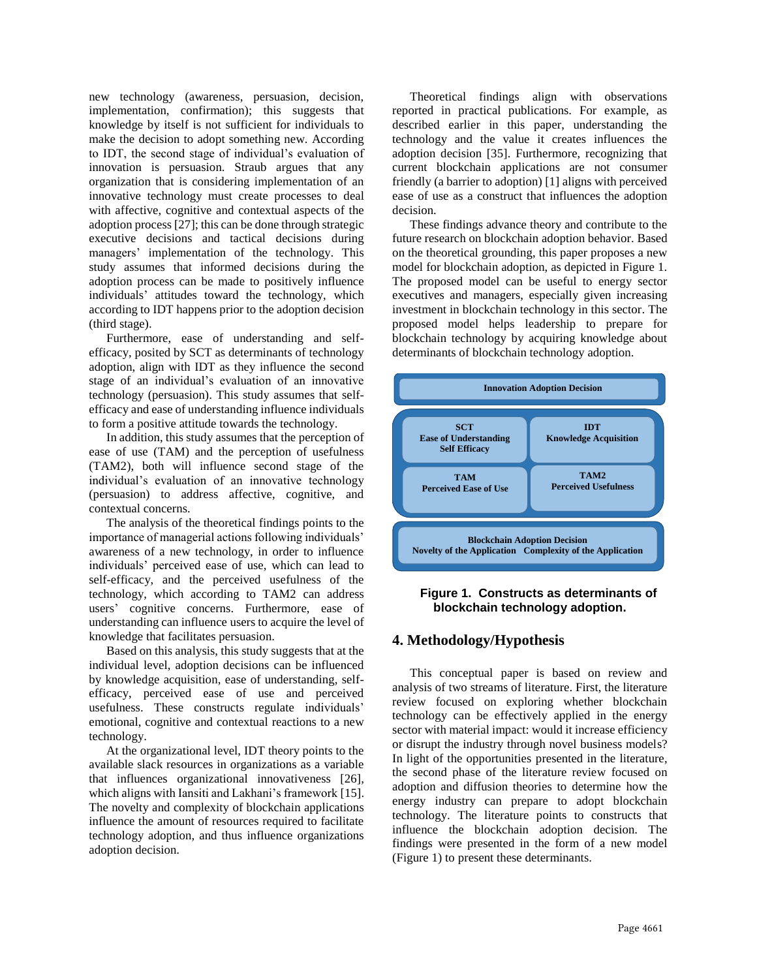new technology (awareness, persuasion, decision, implementation, confirmation); this suggests that knowledge by itself is not sufficient for individuals to make the decision to adopt something new. According to IDT, the second stage of individual's evaluation of innovation is persuasion. Straub argues that any organization that is considering implementation of an innovative technology must create processes to deal with affective, cognitive and contextual aspects of the adoption process [27]; this can be done through strategic executive decisions and tactical decisions during managers' implementation of the technology. This study assumes that informed decisions during the adoption process can be made to positively influence individuals' attitudes toward the technology, which according to IDT happens prior to the adoption decision (third stage).

Furthermore, ease of understanding and selfefficacy, posited by SCT as determinants of technology adoption, align with IDT as they influence the second stage of an individual's evaluation of an innovative technology (persuasion). This study assumes that selfefficacy and ease of understanding influence individuals to form a positive attitude towards the technology.

In addition, this study assumes that the perception of ease of use (TAM) and the perception of usefulness (TAM2), both will influence second stage of the individual's evaluation of an innovative technology (persuasion) to address affective, cognitive, and contextual concerns.

The analysis of the theoretical findings points to the importance of managerial actions following individuals' awareness of a new technology, in order to influence individuals' perceived ease of use, which can lead to self-efficacy, and the perceived usefulness of the technology, which according to TAM2 can address users' cognitive concerns. Furthermore, ease of understanding can influence users to acquire the level of knowledge that facilitates persuasion.

Based on this analysis, this study suggests that at the individual level, adoption decisions can be influenced by knowledge acquisition, ease of understanding, selfefficacy, perceived ease of use and perceived usefulness. These constructs regulate individuals' emotional, cognitive and contextual reactions to a new technology.

At the organizational level, IDT theory points to the available slack resources in organizations as a variable that influences organizational innovativeness [26], which aligns with Iansiti and Lakhani's framework [15]. The novelty and complexity of blockchain applications influence the amount of resources required to facilitate technology adoption, and thus influence organizations adoption decision.

Theoretical findings align with observations reported in practical publications. For example, as described earlier in this paper, understanding the technology and the value it creates influences the adoption decision [35]. Furthermore, recognizing that current blockchain applications are not consumer friendly (a barrier to adoption) [1] aligns with perceived ease of use as a construct that influences the adoption decision.

These findings advance theory and contribute to the future research on blockchain adoption behavior. Based on the theoretical grounding, this paper proposes a new model for blockchain adoption, as depicted in Figure 1. The proposed model can be useful to energy sector executives and managers, especially given increasing investment in blockchain technology in this sector. The proposed model helps leadership to prepare for blockchain technology by acquiring knowledge about determinants of blockchain technology adoption.





## **4. Methodology/Hypothesis**

This conceptual paper is based on review and analysis of two streams of literature. First, the literature review focused on exploring whether blockchain technology can be effectively applied in the energy sector with material impact: would it increase efficiency or disrupt the industry through novel business models? In light of the opportunities presented in the literature, the second phase of the literature review focused on adoption and diffusion theories to determine how the energy industry can prepare to adopt blockchain technology. The literature points to constructs that influence the blockchain adoption decision. The findings were presented in the form of a new model (Figure 1) to present these determinants.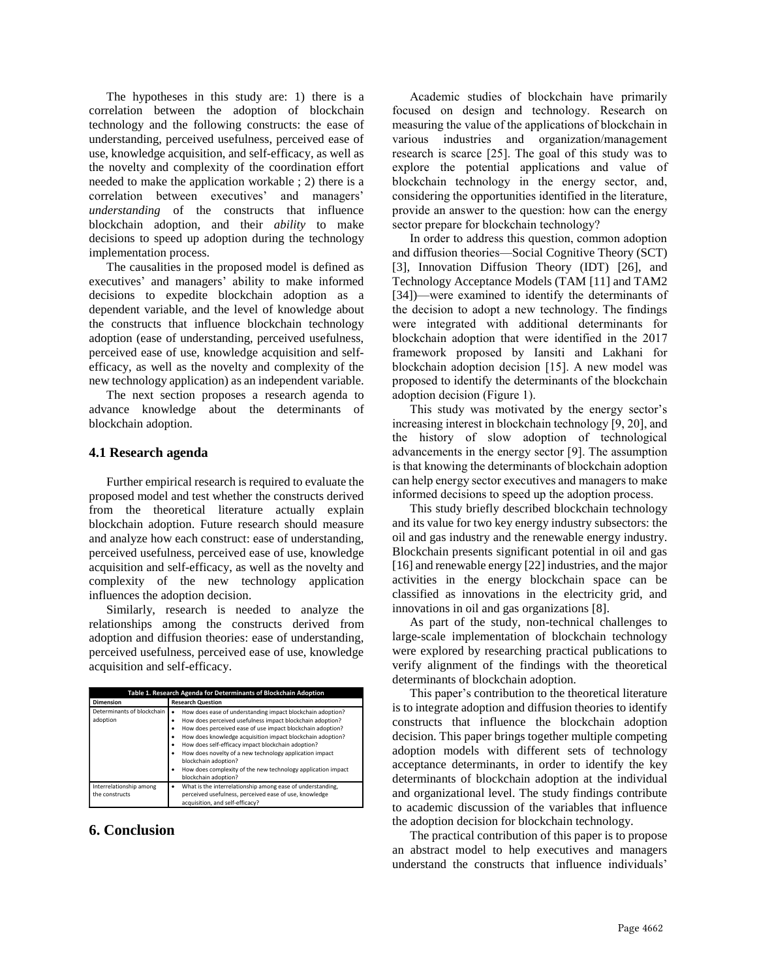The hypotheses in this study are: 1) there is a correlation between the adoption of blockchain technology and the following constructs: the ease of understanding, perceived usefulness, perceived ease of use, knowledge acquisition, and self-efficacy, as well as the novelty and complexity of the coordination effort needed to make the application workable ; 2) there is a correlation between executives' and managers' *understanding* of the constructs that influence blockchain adoption, and their *ability* to make decisions to speed up adoption during the technology implementation process.

The causalities in the proposed model is defined as executives' and managers' ability to make informed decisions to expedite blockchain adoption as a dependent variable, and the level of knowledge about the constructs that influence blockchain technology adoption (ease of understanding, perceived usefulness, perceived ease of use, knowledge acquisition and selfefficacy, as well as the novelty and complexity of the new technology application) as an independent variable.

The next section proposes a research agenda to advance knowledge about the determinants of blockchain adoption.

#### **4.1 Research agenda**

Further empirical research is required to evaluate the proposed model and test whether the constructs derived from the theoretical literature actually explain blockchain adoption. Future research should measure and analyze how each construct: ease of understanding, perceived usefulness, perceived ease of use, knowledge acquisition and self-efficacy, as well as the novelty and complexity of the new technology application influences the adoption decision.

Similarly, research is needed to analyze the relationships among the constructs derived from adoption and diffusion theories: ease of understanding, perceived usefulness, perceived ease of use, knowledge acquisition and self-efficacy.

| Table 1. Research Agenda for Determinants of Blockchain Adoption |                                                                                                                                                                                                                                                                                                                                                                                                                                                                                                |
|------------------------------------------------------------------|------------------------------------------------------------------------------------------------------------------------------------------------------------------------------------------------------------------------------------------------------------------------------------------------------------------------------------------------------------------------------------------------------------------------------------------------------------------------------------------------|
| <b>Dimension</b>                                                 | <b>Research Question</b>                                                                                                                                                                                                                                                                                                                                                                                                                                                                       |
| Determinants of blockchain<br>adoption                           | How does ease of understanding impact blockchain adoption?<br>٠<br>How does perceived usefulness impact blockchain adoption?<br>How does perceived ease of use impact blockchain adoption?<br>How does knowledge acquisition impact blockchain adoption?<br>How does self-efficacy impact blockchain adoption?<br>How does novelty of a new technology application impact<br>blockchain adoption?<br>How does complexity of the new technology application impact<br>٠<br>blockchain adoption? |
| Interrelationship among<br>the constructs                        | What is the interrelationship among ease of understanding,<br>٠<br>perceived usefulness, perceived ease of use, knowledge<br>acquisition, and self-efficacy?                                                                                                                                                                                                                                                                                                                                   |

#### **6. Conclusion**

Academic studies of blockchain have primarily focused on design and technology. Research on measuring the value of the applications of blockchain in various industries and organization/management research is scarce [25]. The goal of this study was to explore the potential applications and value of blockchain technology in the energy sector, and, considering the opportunities identified in the literature, provide an answer to the question: how can the energy sector prepare for blockchain technology?

In order to address this question, common adoption and diffusion theories—Social Cognitive Theory (SCT) [3], Innovation Diffusion Theory (IDT) [26], and Technology Acceptance Models (TAM [11] and TAM2 [34])—were examined to identify the determinants of the decision to adopt a new technology. The findings were integrated with additional determinants for blockchain adoption that were identified in the 2017 framework proposed by Iansiti and Lakhani for blockchain adoption decision [15]. A new model was proposed to identify the determinants of the blockchain adoption decision (Figure 1).

This study was motivated by the energy sector's increasing interest in blockchain technology [9, 20], and the history of slow adoption of technological advancements in the energy sector [9]. The assumption is that knowing the determinants of blockchain adoption can help energy sector executives and managers to make informed decisions to speed up the adoption process.

This study briefly described blockchain technology and its value for two key energy industry subsectors: the oil and gas industry and the renewable energy industry. Blockchain presents significant potential in oil and gas [16] and renewable energy [22] industries, and the major activities in the energy blockchain space can be classified as innovations in the electricity grid, and innovations in oil and gas organizations [8].

As part of the study, non-technical challenges to large-scale implementation of blockchain technology were explored by researching practical publications to verify alignment of the findings with the theoretical determinants of blockchain adoption.

This paper's contribution to the theoretical literature is to integrate adoption and diffusion theories to identify constructs that influence the blockchain adoption decision. This paper brings together multiple competing adoption models with different sets of technology acceptance determinants, in order to identify the key determinants of blockchain adoption at the individual and organizational level. The study findings contribute to academic discussion of the variables that influence the adoption decision for blockchain technology.

The practical contribution of this paper is to propose an abstract model to help executives and managers understand the constructs that influence individuals'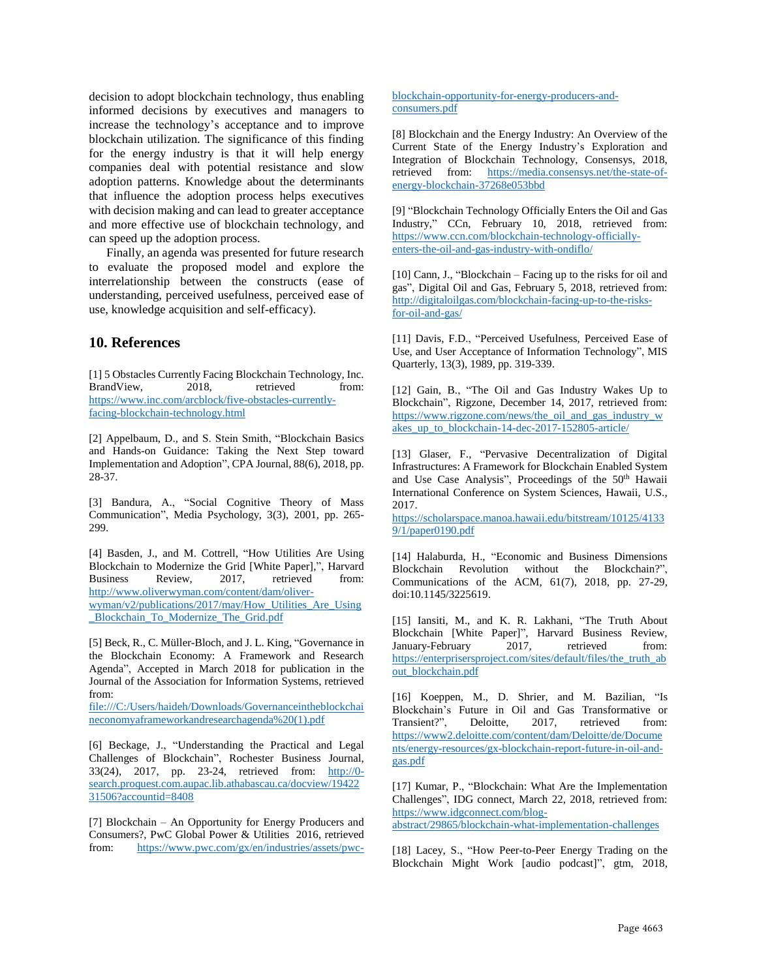decision to adopt blockchain technology, thus enabling informed decisions by executives and managers to increase the technology's acceptance and to improve blockchain utilization. The significance of this finding for the energy industry is that it will help energy companies deal with potential resistance and slow adoption patterns. Knowledge about the determinants that influence the adoption process helps executives with decision making and can lead to greater acceptance and more effective use of blockchain technology, and can speed up the adoption process.

Finally, an agenda was presented for future research to evaluate the proposed model and explore the interrelationship between the constructs (ease of understanding, perceived usefulness, perceived ease of use, knowledge acquisition and self-efficacy).

#### **10. References**

[1] 5 Obstacles Currently Facing Blockchain Technology, Inc. BrandView, 2018, retrieved from: [https://www.inc.com/arcblock/five-obstacles-currently](https://www.inc.com/arcblock/five-obstacles-currently-facing-blockchain-technology.html)[facing-blockchain-technology.html](https://www.inc.com/arcblock/five-obstacles-currently-facing-blockchain-technology.html)

[2] Appelbaum, D., and S. Stein Smith, "Blockchain Basics and Hands-on Guidance: Taking the Next Step toward Implementation and Adoption", CPA Journal, 88(6), 2018, pp. 28-37.

[3] Bandura, A., "Social Cognitive Theory of Mass Communication", Media Psychology, 3(3), 2001, pp. 265- 299.

[4] Basden, J., and M. Cottrell, "How Utilities Are Using Blockchain to Modernize the Grid [White Paper],", Harvard Business Review, 2017, retrieved from: [http://www.oliverwyman.com/content/dam/oliver](http://www.oliverwyman.com/content/dam/oliver-wyman/v2/publications/2017/may/How_Utilities_Are_Using_Blockchain_To_Modernize_The_Grid.pdf)[wyman/v2/publications/2017/may/How\\_Utilities\\_Are\\_Using](http://www.oliverwyman.com/content/dam/oliver-wyman/v2/publications/2017/may/How_Utilities_Are_Using_Blockchain_To_Modernize_The_Grid.pdf) [\\_Blockchain\\_To\\_Modernize\\_The\\_Grid.pdf](http://www.oliverwyman.com/content/dam/oliver-wyman/v2/publications/2017/may/How_Utilities_Are_Using_Blockchain_To_Modernize_The_Grid.pdf)

[5] Beck, R., C. Müller-Bloch, and J. L. King, "Governance in the Blockchain Economy: A Framework and Research Agenda", Accepted in March 2018 for publication in the Journal of the Association for Information Systems, retrieved from:

[file:///C:/Users/haideh/Downloads/Governanceintheblockchai](file:///C:/Users/haideh/Downloads/Governanceintheblockchaineconomyaframeworkandresearchagenda%20(1).pdf) [neconomyaframeworkandresearchagenda%20\(1\).pdf](file:///C:/Users/haideh/Downloads/Governanceintheblockchaineconomyaframeworkandresearchagenda%20(1).pdf)

[6] Beckage, J., "Understanding the Practical and Legal Challenges of Blockchain", Rochester Business Journal, 33(24), 2017, pp. 23-24, retrieved from: [http://0](http://0-search.proquest.com.aupac.lib.athabascau.ca/docview/1942231506?accountid=8408) [search.proquest.com.aupac.lib.athabascau.ca/docview/19422](http://0-search.proquest.com.aupac.lib.athabascau.ca/docview/1942231506?accountid=8408) [31506?accountid=8408](http://0-search.proquest.com.aupac.lib.athabascau.ca/docview/1942231506?accountid=8408)

[7] Blockchain – An Opportunity for Energy Producers and Consumers?, PwC Global Power & Utilities 2016, retrieved from: [https://www.pwc.com/gx/en/industries/assets/pwc-](https://www.pwc.com/gx/en/industries/assets/pwc-blockchain-opportunity-for-energy-producers-and-consumers.pdf)

[blockchain-opportunity-for-energy-producers-and](https://www.pwc.com/gx/en/industries/assets/pwc-blockchain-opportunity-for-energy-producers-and-consumers.pdf)[consumers.pdf](https://www.pwc.com/gx/en/industries/assets/pwc-blockchain-opportunity-for-energy-producers-and-consumers.pdf)

[8] Blockchain and the Energy Industry: An Overview of the Current State of the Energy Industry's Exploration and Integration of Blockchain Technology, Consensys, 2018, retrieved from: [https://media.consensys.net/the-state-of](https://media.consensys.net/the-state-of-energy-blockchain-37268e053bbd)[energy-blockchain-37268e053bbd](https://media.consensys.net/the-state-of-energy-blockchain-37268e053bbd)

[9] "Blockchain Technology Officially Enters the Oil and Gas Industry," CCn, February 10, 2018, retrieved from: [https://www.ccn.com/blockchain-technology-officially](https://www.ccn.com/blockchain-technology-officially-enters-the-oil-and-gas-industry-with-ondiflo/)[enters-the-oil-and-gas-industry-with-ondiflo/](https://www.ccn.com/blockchain-technology-officially-enters-the-oil-and-gas-industry-with-ondiflo/)

[10] Cann, J., "Blockchain – Facing up to the risks for oil and gas", Digital Oil and Gas, February 5, 2018, retrieved from: [http://digitaloilgas.com/blockchain-facing-up-to-the-risks](http://digitaloilgas.com/blockchain-facing-up-to-the-risks-for-oil-and-gas/)[for-oil-and-gas/](http://digitaloilgas.com/blockchain-facing-up-to-the-risks-for-oil-and-gas/)

[11] Davis, F.D., "Perceived Usefulness, Perceived Ease of Use, and User Acceptance of Information Technology", MIS Quarterly, 13(3), 1989, pp. 319-339.

[12] Gain, B., "The Oil and Gas Industry Wakes Up to Blockchain", Rigzone, December 14, 2017, retrieved from: [https://www.rigzone.com/news/the\\_oil\\_and\\_gas\\_industry\\_w](https://www.rigzone.com/news/the_oil_and_gas_industry_wakes_up_to_blockchain-14-dec-2017-152805-article/) [akes\\_up\\_to\\_blockchain-14-dec-2017-152805-article/](https://www.rigzone.com/news/the_oil_and_gas_industry_wakes_up_to_blockchain-14-dec-2017-152805-article/)

[13] Glaser, F., "Pervasive Decentralization of Digital Infrastructures: A Framework for Blockchain Enabled System and Use Case Analysis", Proceedings of the 50<sup>th</sup> Hawaii International Conference on System Sciences, Hawaii, U.S., 2017.

[https://scholarspace.manoa.hawaii.edu/bitstream/10125/4133](https://scholarspace.manoa.hawaii.edu/bitstream/10125/41339/1/paper0190.pdf) [9/1/paper0190.pdf](https://scholarspace.manoa.hawaii.edu/bitstream/10125/41339/1/paper0190.pdf)

[14] Halaburda, H., "Economic and Business Dimensions Blockchain Revolution without the Blockchain?", Communications of the ACM, 61(7), 2018, pp. 27-29, doi:10.1145/3225619.

[15] Iansiti, M., and K. R. Lakhani, "The Truth About Blockchain [White Paper]", Harvard Business Review, January-February 2017, retrieved from: [https://enterprisersproject.com/sites/default/files/the\\_truth\\_ab](https://enterprisersproject.com/sites/default/files/the_truth_about_blockchain.pdf) [out\\_blockchain.pdf](https://enterprisersproject.com/sites/default/files/the_truth_about_blockchain.pdf)

[16] Koeppen, M., D. Shrier, and M. Bazilian, "Is Blockchain's Future in Oil and Gas Transformative or Transient?", Deloitte, 2017, retrieved from: Transient?", Deloitte, 2017, retrieved from: [https://www2.deloitte.com/content/dam/Deloitte/de/Docume](https://www2.deloitte.com/content/dam/Deloitte/de/Documents/energy-resources/gx-blockchain-report-future-in-oil-and-gas.pdf) [nts/energy-resources/gx-blockchain-report-future-in-oil-and](https://www2.deloitte.com/content/dam/Deloitte/de/Documents/energy-resources/gx-blockchain-report-future-in-oil-and-gas.pdf)[gas.pdf](https://www2.deloitte.com/content/dam/Deloitte/de/Documents/energy-resources/gx-blockchain-report-future-in-oil-and-gas.pdf)

[17] Kumar, P., "Blockchain: What Are the Implementation Challenges", IDG connect, March 22, 2018, retrieved from: [https://www.idgconnect.com/blog](https://www.idgconnect.com/blog-abstract/29865/blockchain-what-implementation-challenges)[abstract/29865/blockchain-what-implementation-challenges](https://www.idgconnect.com/blog-abstract/29865/blockchain-what-implementation-challenges)

[18] Lacey, S., "How Peer-to-Peer Energy Trading on the Blockchain Might Work [audio podcast]", gtm, 2018,